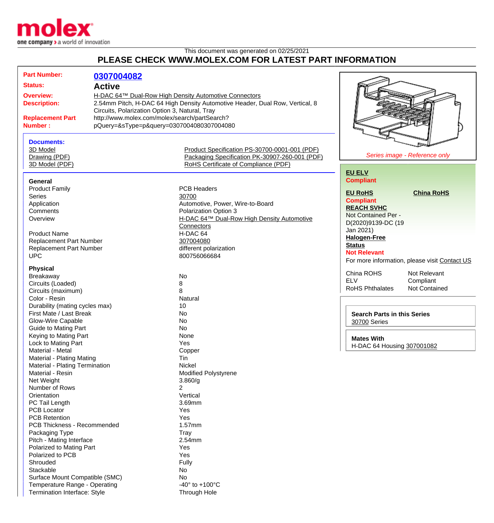

This document was generated on 02/25/2021

## **PLEASE CHECK WWW.MOLEX.COM FOR LATEST PART INFORMATION**

| <b>Part Number:</b>                                                                                                                                                              | 0307004082    |                                                |                                                           |                                               |
|----------------------------------------------------------------------------------------------------------------------------------------------------------------------------------|---------------|------------------------------------------------|-----------------------------------------------------------|-----------------------------------------------|
| <b>Status:</b>                                                                                                                                                                   | <b>Active</b> |                                                |                                                           |                                               |
| <b>Overview:</b><br>H-DAC 64™ Dual-Row High Density Automotive Connectors<br>2.54mm Pitch, H-DAC 64 High Density Automotive Header, Dual Row, Vertical, 8<br><b>Description:</b> |               |                                                |                                                           |                                               |
|                                                                                                                                                                                  |               |                                                |                                                           |                                               |
|                                                                                                                                                                                  |               | Circuits, Polarization Option 3, Natural, Tray |                                                           |                                               |
| <b>Replacement Part</b>                                                                                                                                                          |               | http://www.molex.com/molex/search/partSearch?  |                                                           |                                               |
| pQuery=&sType=p&query=0307004080307004080<br><b>Number:</b>                                                                                                                      |               |                                                |                                                           |                                               |
|                                                                                                                                                                                  |               |                                                |                                                           |                                               |
| <b>Documents:</b>                                                                                                                                                                |               |                                                |                                                           |                                               |
| 3D Model                                                                                                                                                                         |               | Product Specification PS-30700-0001-001 (PDF)  |                                                           | Series image - Reference only                 |
| Drawing (PDF)                                                                                                                                                                    |               | Packaging Specification PK-30907-260-001 (PDF) |                                                           |                                               |
| 3D Model (PDF)                                                                                                                                                                   |               | RoHS Certificate of Compliance (PDF)           |                                                           |                                               |
| General                                                                                                                                                                          |               |                                                | <b>EU ELV</b><br><b>Compliant</b>                         |                                               |
| <b>Product Family</b>                                                                                                                                                            |               | <b>PCB Headers</b>                             |                                                           |                                               |
| <b>Series</b>                                                                                                                                                                    |               | 30700                                          | <b>EU RoHS</b>                                            | <b>China RoHS</b>                             |
|                                                                                                                                                                                  |               | Automotive, Power, Wire-to-Board               | <b>Compliant</b>                                          |                                               |
| Application                                                                                                                                                                      |               |                                                | <b>REACH SVHC</b>                                         |                                               |
| Comments                                                                                                                                                                         |               | Polarization Option 3                          | Not Contained Per -                                       |                                               |
| Overview                                                                                                                                                                         |               | H-DAC 64™ Dual-Row High Density Automotive     | D(2020)9139-DC (19                                        |                                               |
|                                                                                                                                                                                  |               | Connectors                                     | Jan 2021)                                                 |                                               |
| <b>Product Name</b>                                                                                                                                                              |               | H-DAC 64                                       | <b>Halogen-Free</b>                                       |                                               |
| <b>Replacement Part Number</b>                                                                                                                                                   |               | 307004080                                      | <b>Status</b>                                             |                                               |
| <b>Replacement Part Number</b>                                                                                                                                                   |               | different polarization                         | <b>Not Relevant</b>                                       |                                               |
| <b>UPC</b>                                                                                                                                                                       |               | 800756066684                                   |                                                           | For more information, please visit Contact US |
| <b>Physical</b>                                                                                                                                                                  |               |                                                |                                                           |                                               |
| Breakaway                                                                                                                                                                        |               | No                                             | China ROHS                                                | Not Relevant                                  |
| Circuits (Loaded)                                                                                                                                                                |               | 8                                              | <b>ELV</b>                                                | Compliant                                     |
| Circuits (maximum)                                                                                                                                                               |               | 8                                              | <b>RoHS Phthalates</b>                                    | Not Contained                                 |
| Color - Resin                                                                                                                                                                    |               | Natural                                        |                                                           |                                               |
| Durability (mating cycles max)                                                                                                                                                   |               | 10                                             |                                                           |                                               |
| First Mate / Last Break                                                                                                                                                          |               | <b>No</b>                                      |                                                           |                                               |
| Glow-Wire Capable                                                                                                                                                                |               | <b>No</b>                                      | <b>Search Parts in this Series</b><br><b>30700 Series</b> |                                               |
| <b>Guide to Mating Part</b>                                                                                                                                                      |               | <b>No</b>                                      |                                                           |                                               |
| Keying to Mating Part                                                                                                                                                            |               | None                                           |                                                           |                                               |
|                                                                                                                                                                                  |               | Yes                                            | <b>Mates With</b>                                         |                                               |
| Lock to Mating Part                                                                                                                                                              |               |                                                | H-DAC 64 Housing 307001082                                |                                               |
| Material - Metal                                                                                                                                                                 |               | Copper<br>Tin                                  |                                                           |                                               |
| Material - Plating Mating                                                                                                                                                        |               | Nickel                                         |                                                           |                                               |
| Material - Plating Termination                                                                                                                                                   |               |                                                |                                                           |                                               |
| Material - Resin                                                                                                                                                                 |               | <b>Modified Polystyrene</b>                    |                                                           |                                               |
| Net Weight                                                                                                                                                                       |               | 3.860/g                                        |                                                           |                                               |
| Number of Rows                                                                                                                                                                   |               | 2                                              |                                                           |                                               |
| Orientation                                                                                                                                                                      |               | Vertical                                       |                                                           |                                               |
| PC Tail Length                                                                                                                                                                   |               | 3.69mm                                         |                                                           |                                               |
| <b>PCB Locator</b>                                                                                                                                                               |               | Yes                                            |                                                           |                                               |
| <b>PCB Retention</b>                                                                                                                                                             |               | Yes                                            |                                                           |                                               |
| PCB Thickness - Recommended                                                                                                                                                      |               | 1.57mm                                         |                                                           |                                               |
| Packaging Type                                                                                                                                                                   |               | Tray                                           |                                                           |                                               |
| Pitch - Mating Interface                                                                                                                                                         |               | 2.54mm                                         |                                                           |                                               |
| Polarized to Mating Part                                                                                                                                                         |               | Yes                                            |                                                           |                                               |
| Polarized to PCB                                                                                                                                                                 |               | Yes                                            |                                                           |                                               |
| Shrouded                                                                                                                                                                         |               | Fully                                          |                                                           |                                               |
| Stackable                                                                                                                                                                        |               | No                                             |                                                           |                                               |
| Surface Mount Compatible (SMC)                                                                                                                                                   |               | No                                             |                                                           |                                               |
| Temperature Range - Operating                                                                                                                                                    |               | -40 $\degree$ to +100 $\degree$ C              |                                                           |                                               |
| Termination Interface: Style                                                                                                                                                     |               | Through Hole                                   |                                                           |                                               |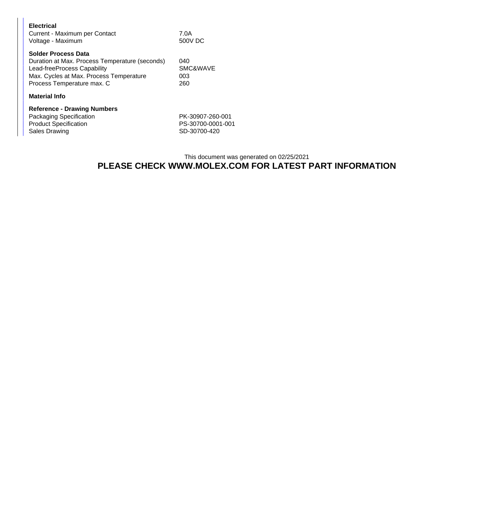| <b>Electrical</b><br>Current - Maximum per Contact<br>Voltage - Maximum                                                                                                              | 7.0A<br>500V DC                                       |  |  |  |
|--------------------------------------------------------------------------------------------------------------------------------------------------------------------------------------|-------------------------------------------------------|--|--|--|
| <b>Solder Process Data</b><br>Duration at Max. Process Temperature (seconds)<br>Lead-freeProcess Capability<br>Max. Cycles at Max. Process Temperature<br>Process Temperature max. C | 040<br><b>SMC&amp;WAVE</b><br>003<br>260              |  |  |  |
| <b>Material Info</b>                                                                                                                                                                 |                                                       |  |  |  |
| <b>Reference - Drawing Numbers</b><br>Packaging Specification<br><b>Product Specification</b><br>Sales Drawing                                                                       | PK-30907-260-001<br>PS-30700-0001-001<br>SD-30700-420 |  |  |  |

Sales Drawing

## This document was generated on 02/25/2021 **PLEASE CHECK WWW.MOLEX.COM FOR LATEST PART INFORMATION**